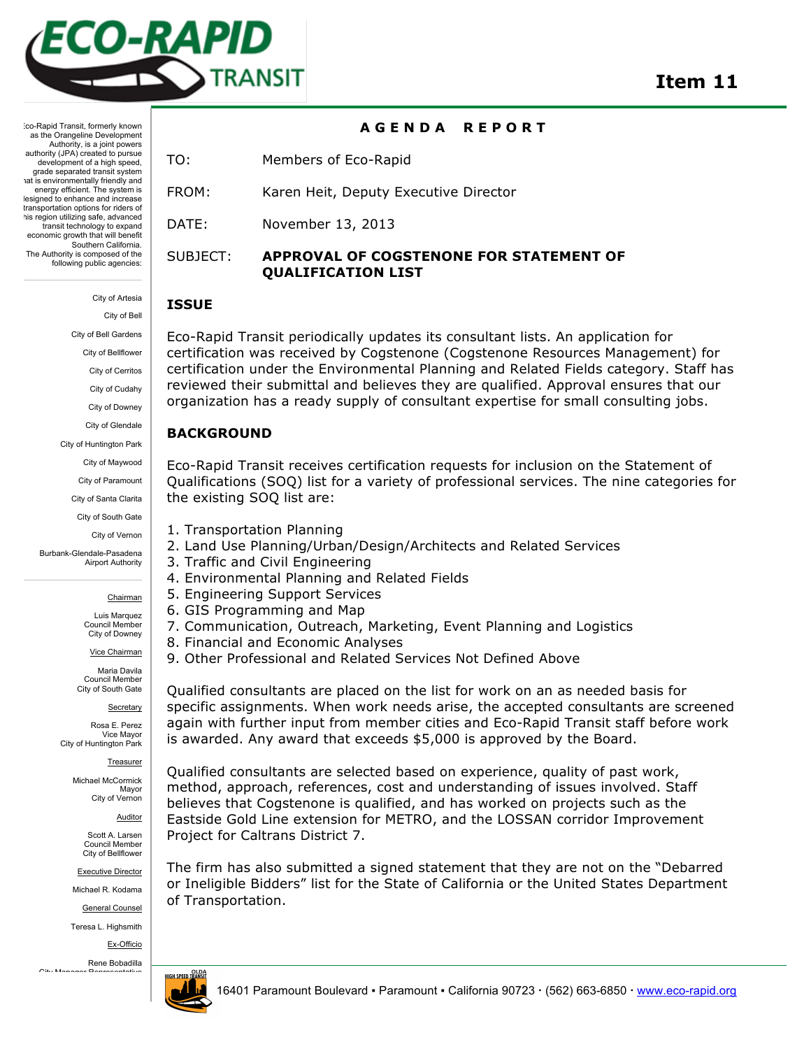

**A G E N D A R E P O R T** 

:co-Rapid Transit, formerly known as the Orangeline Development Authority, is a joint powers authority (JPA) created to pursue development of a high speed. grade separated transit system that is environmentally friendly and energy efficient. The system is designed to enhance and increase transportation options for riders of this region utilizing safe, advanced transit technology to expand economic growth that will benefit Southern California. The Authority is composed of the following public agencies:

> City of Artesia City of Bell City of Bell Gardens City of Bellflower City of Cerritos City of Cudahy City of Downey City of Glendale City of Huntington Park

> > City of Maywood

City of Paramount

City of Santa Clarita

City of South Gate

City of Vernon

Burbank-Glendale-Pasadena Airport Authority

#### Chairman

Luis Marquez Council Member City of Downey

Vice Chairman

Maria Davila Council Member City of South Gate

**Secretary** 

Rosa E. Perez Vice Mayor City of Huntington Park

Treasurer

Michael McCormick Mayor City of Vernon

Auditor

Scott A. Larsen Council Member City of Bellflower

Executive Director Michael R. Kodama

General Counsel

Teresa L. Highsmith

Ex-Officio

Rene Bobadilla City Manager



TO: Members of Eco-Rapid

FROM: Karen Heit, Deputy Executive Director

DATE: November 13, 2013

## SUBJECT: **APPROVAL OF COGSTENONE FOR STATEMENT OF QUALIFICATION LIST**

### **ISSUE**

Eco-Rapid Transit periodically updates its consultant lists. An application for certification was received by Cogstenone (Cogstenone Resources Management) for certification under the Environmental Planning and Related Fields category. Staff has reviewed their submittal and believes they are qualified. Approval ensures that our organization has a ready supply of consultant expertise for small consulting jobs.

### **BACKGROUND**

Eco-Rapid Transit receives certification requests for inclusion on the Statement of Qualifications (SOQ) list for a variety of professional services. The nine categories for the existing SOQ list are:

- 1. Transportation Planning
- 2. Land Use Planning/Urban/Design/Architects and Related Services
- 3. Traffic and Civil Engineering
- 4. Environmental Planning and Related Fields
- 5. Engineering Support Services
- 6. GIS Programming and Map
- 7. Communication, Outreach, Marketing, Event Planning and Logistics
- 8. Financial and Economic Analyses
- 9. Other Professional and Related Services Not Defined Above

Qualified consultants are placed on the list for work on an as needed basis for specific assignments. When work needs arise, the accepted consultants are screened again with further input from member cities and Eco-Rapid Transit staff before work is awarded. Any award that exceeds \$5,000 is approved by the Board.

Qualified consultants are selected based on experience, quality of past work, method, approach, references, cost and understanding of issues involved. Staff believes that Cogstenone is qualified, and has worked on projects such as the Eastside Gold Line extension for METRO, and the LOSSAN corridor Improvement Project for Caltrans District 7.

The firm has also submitted a signed statement that they are not on the "Debarred or Ineligible Bidders" list for the State of California or the United States Department of Transportation.